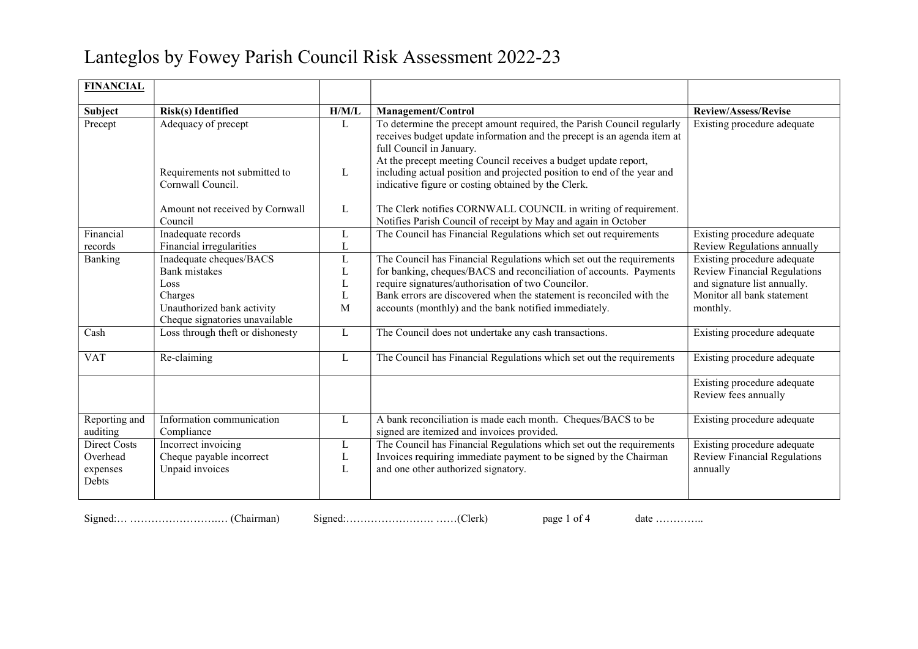## Lanteglos by Fowey Parish Council Risk Assessment 2022-23

| <b>FINANCIAL</b>                              |                                                                                                                                                                                       |                                           |                                                                                                                                                                                                                                                                                                                                                                                                                                                                    |                                                                                                                                                                                                                                           |
|-----------------------------------------------|---------------------------------------------------------------------------------------------------------------------------------------------------------------------------------------|-------------------------------------------|--------------------------------------------------------------------------------------------------------------------------------------------------------------------------------------------------------------------------------------------------------------------------------------------------------------------------------------------------------------------------------------------------------------------------------------------------------------------|-------------------------------------------------------------------------------------------------------------------------------------------------------------------------------------------------------------------------------------------|
| Subject                                       | <b>Risk(s)</b> Identified                                                                                                                                                             | H/M/L                                     | Management/Control                                                                                                                                                                                                                                                                                                                                                                                                                                                 | <b>Review/Assess/Revise</b>                                                                                                                                                                                                               |
| Precept                                       | Adequacy of precept                                                                                                                                                                   | L                                         | To determine the precept amount required, the Parish Council regularly<br>receives budget update information and the precept is an agenda item at<br>full Council in January.<br>At the precept meeting Council receives a budget update report,                                                                                                                                                                                                                   | Existing procedure adequate                                                                                                                                                                                                               |
|                                               | Requirements not submitted to<br>Cornwall Council.                                                                                                                                    | L                                         | including actual position and projected position to end of the year and<br>indicative figure or costing obtained by the Clerk.                                                                                                                                                                                                                                                                                                                                     |                                                                                                                                                                                                                                           |
|                                               | Amount not received by Cornwall<br>Council                                                                                                                                            | L                                         | The Clerk notifies CORNWALL COUNCIL in writing of requirement.<br>Notifies Parish Council of receipt by May and again in October                                                                                                                                                                                                                                                                                                                                   |                                                                                                                                                                                                                                           |
| Financial<br>records                          | Inadequate records<br>Financial irregularities                                                                                                                                        | L<br>L                                    | The Council has Financial Regulations which set out requirements                                                                                                                                                                                                                                                                                                                                                                                                   | Existing procedure adequate<br>Review Regulations annually                                                                                                                                                                                |
| Banking<br>Cash<br><b>VAT</b>                 | Inadequate cheques/BACS<br><b>Bank</b> mistakes<br>Loss<br>Charges<br>Unauthorized bank activity<br>Cheque signatories unavailable<br>Loss through theft or dishonesty<br>Re-claiming | $\mathbf L$<br>L<br>L<br>L<br>M<br>L<br>L | The Council has Financial Regulations which set out the requirements<br>for banking, cheques/BACS and reconciliation of accounts. Payments<br>require signatures/authorisation of two Councilor.<br>Bank errors are discovered when the statement is reconciled with the<br>accounts (monthly) and the bank notified immediately.<br>The Council does not undertake any cash transactions.<br>The Council has Financial Regulations which set out the requirements | Existing procedure adequate<br><b>Review Financial Regulations</b><br>and signature list annually.<br>Monitor all bank statement<br>monthly.<br>Existing procedure adequate<br>Existing procedure adequate<br>Existing procedure adequate |
|                                               |                                                                                                                                                                                       |                                           |                                                                                                                                                                                                                                                                                                                                                                                                                                                                    | Review fees annually                                                                                                                                                                                                                      |
| Reporting and<br>auditing                     | Information communication<br>Compliance                                                                                                                                               | L                                         | A bank reconciliation is made each month. Cheques/BACS to be<br>signed are itemized and invoices provided.                                                                                                                                                                                                                                                                                                                                                         | Existing procedure adequate                                                                                                                                                                                                               |
| Direct Costs<br>Overhead<br>expenses<br>Debts | Incorrect invoicing<br>Cheque payable incorrect<br>Unpaid invoices                                                                                                                    | L<br>L<br>L                               | The Council has Financial Regulations which set out the requirements<br>Invoices requiring immediate payment to be signed by the Chairman<br>and one other authorized signatory.                                                                                                                                                                                                                                                                                   | Existing procedure adequate<br>Review Financial Regulations<br>annually                                                                                                                                                                   |

Signed:… …………………….… (Chairman) Signed:……………………. ……(Clerk) page 1 of 4 date …………..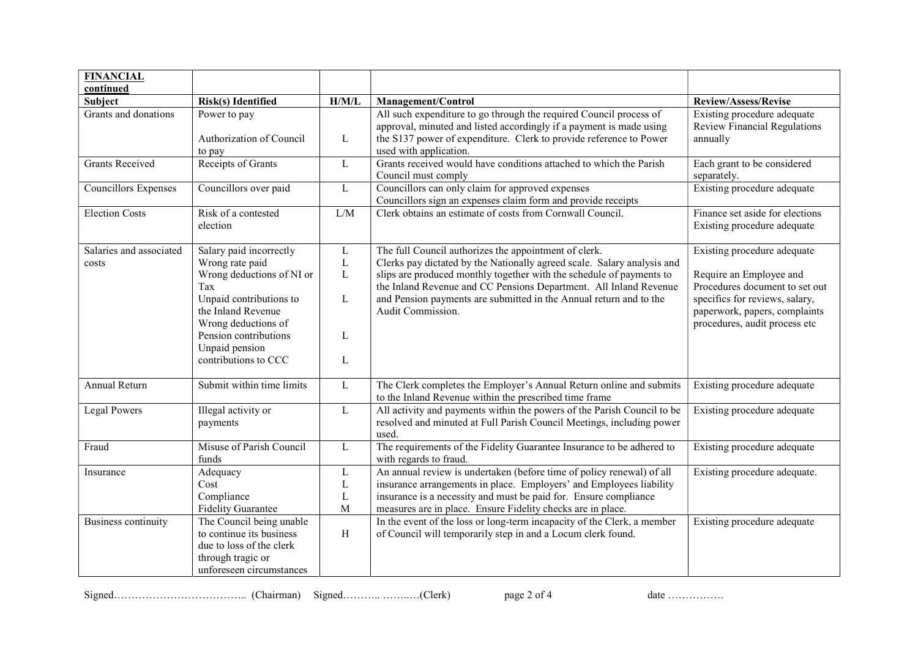| <b>FINANCIAL</b>                 |                                                                                                                                                                                                                           |                                                       |                                                                                                                                                                                                                                                                                                                                                                          |                                                                                                                                                                                              |
|----------------------------------|---------------------------------------------------------------------------------------------------------------------------------------------------------------------------------------------------------------------------|-------------------------------------------------------|--------------------------------------------------------------------------------------------------------------------------------------------------------------------------------------------------------------------------------------------------------------------------------------------------------------------------------------------------------------------------|----------------------------------------------------------------------------------------------------------------------------------------------------------------------------------------------|
| continued                        | <b>Risk(s)</b> Identified                                                                                                                                                                                                 | H/M/L                                                 | Management/Control                                                                                                                                                                                                                                                                                                                                                       | Review/Assess/Revise                                                                                                                                                                         |
| Subject<br>Grants and donations  | Power to pay<br>Authorization of Council<br>to pay                                                                                                                                                                        | $\mathbf{L}$                                          | All such expenditure to go through the required Council process of<br>approval, minuted and listed accordingly if a payment is made using<br>the S137 power of expenditure. Clerk to provide reference to Power<br>used with application.                                                                                                                                | Existing procedure adequate<br>Review Financial Regulations<br>annually                                                                                                                      |
| <b>Grants Received</b>           | Receipts of Grants                                                                                                                                                                                                        | $\mathbf{L}$                                          | Grants received would have conditions attached to which the Parish<br>Council must comply                                                                                                                                                                                                                                                                                | Each grant to be considered<br>separately.                                                                                                                                                   |
| <b>Councillors Expenses</b>      | Councillors over paid                                                                                                                                                                                                     | $\mathbf L$                                           | Councillors can only claim for approved expenses<br>Councillors sign an expenses claim form and provide receipts                                                                                                                                                                                                                                                         | Existing procedure adequate                                                                                                                                                                  |
| <b>Election Costs</b>            | Risk of a contested<br>election                                                                                                                                                                                           | L/M                                                   | Clerk obtains an estimate of costs from Cornwall Council.                                                                                                                                                                                                                                                                                                                | Finance set aside for elections<br>Existing procedure adequate                                                                                                                               |
| Salaries and associated<br>costs | Salary paid incorrectly<br>Wrong rate paid<br>Wrong deductions of NI or<br>Tax<br>Unpaid contributions to<br>the Inland Revenue<br>Wrong deductions of<br>Pension contributions<br>Unpaid pension<br>contributions to CCC | $\mathbf{L}$<br>$\mathbf L$<br>$\bf L$<br>L<br>L<br>L | The full Council authorizes the appointment of clerk.<br>Clerks pay dictated by the Nationally agreed scale. Salary analysis and<br>slips are produced monthly together with the schedule of payments to<br>the Inland Revenue and CC Pensions Department. All Inland Revenue<br>and Pension payments are submitted in the Annual return and to the<br>Audit Commission. | Existing procedure adequate<br>Require an Employee and<br>Procedures document to set out<br>specifics for reviews, salary,<br>paperwork, papers, complaints<br>procedures, audit process etc |
| <b>Annual Return</b>             | Submit within time limits                                                                                                                                                                                                 | L                                                     | The Clerk completes the Employer's Annual Return online and submits<br>to the Inland Revenue within the prescribed time frame                                                                                                                                                                                                                                            | Existing procedure adequate                                                                                                                                                                  |
| <b>Legal Powers</b>              | Illegal activity or<br>payments                                                                                                                                                                                           | L                                                     | All activity and payments within the powers of the Parish Council to be<br>resolved and minuted at Full Parish Council Meetings, including power<br>used.                                                                                                                                                                                                                | Existing procedure adequate                                                                                                                                                                  |
| Fraud                            | Misuse of Parish Council<br>funds                                                                                                                                                                                         | $\mathbf{L}$                                          | The requirements of the Fidelity Guarantee Insurance to be adhered to<br>with regards to fraud.                                                                                                                                                                                                                                                                          | Existing procedure adequate                                                                                                                                                                  |
| Insurance                        | Adequacy<br>Cost<br>Compliance<br><b>Fidelity Guarantee</b>                                                                                                                                                               | L<br>$\mathbf L$<br>L<br>$\mathbf M$                  | An annual review is undertaken (before time of policy renewal) of all<br>insurance arrangements in place. Employers' and Employees liability<br>insurance is a necessity and must be paid for. Ensure compliance<br>measures are in place. Ensure Fidelity checks are in place.                                                                                          | Existing procedure adequate.                                                                                                                                                                 |
| <b>Business continuity</b>       | The Council being unable<br>to continue its business<br>due to loss of the clerk<br>through tragic or<br>unforeseen circumstances                                                                                         | H                                                     | In the event of the loss or long-term incapacity of the Clerk, a member<br>of Council will temporarily step in and a Locum clerk found.                                                                                                                                                                                                                                  | Existing procedure adequate                                                                                                                                                                  |

Signed……………………………….. (Chairman) Signed……….. ……..…(Clerk) page 2 of 4 date …………….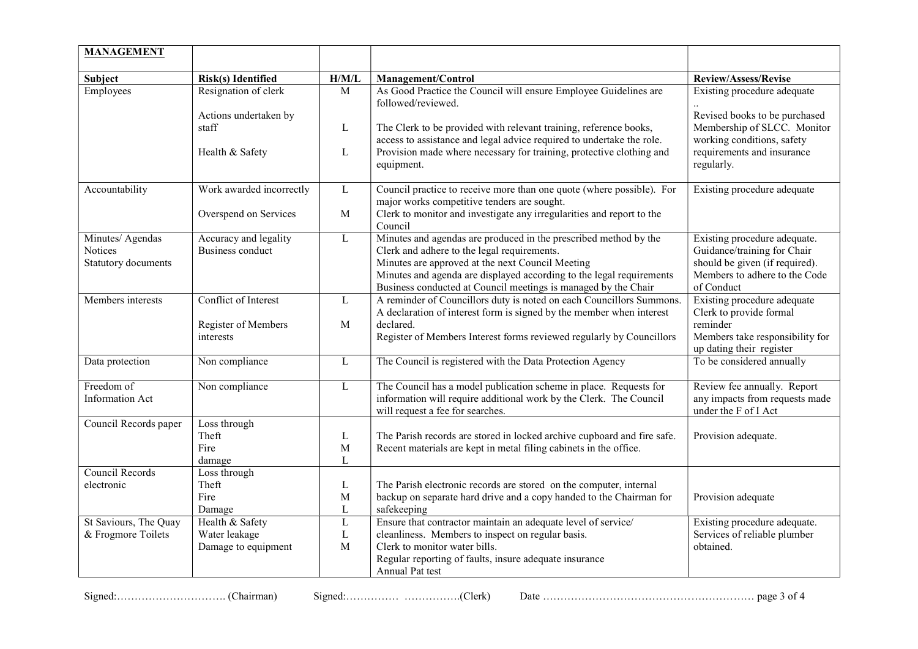| <b>MANAGEMENT</b>                                  |                                                          |                       |                                                                                                                                                                                                                                                                                                               |                                                                                                                                              |
|----------------------------------------------------|----------------------------------------------------------|-----------------------|---------------------------------------------------------------------------------------------------------------------------------------------------------------------------------------------------------------------------------------------------------------------------------------------------------------|----------------------------------------------------------------------------------------------------------------------------------------------|
| Subject                                            | Risk(s) Identified                                       | H/M/L                 | Management/Control                                                                                                                                                                                                                                                                                            | <b>Review/Assess/Revise</b>                                                                                                                  |
| Employees                                          | Resignation of clerk<br>Actions undertaken by            | $\mathbf M$           | As Good Practice the Council will ensure Employee Guidelines are<br>followed/reviewed.                                                                                                                                                                                                                        | Existing procedure adequate<br>Revised books to be purchased                                                                                 |
|                                                    | staff                                                    | L                     | The Clerk to be provided with relevant training, reference books,<br>access to assistance and legal advice required to undertake the role.                                                                                                                                                                    | Membership of SLCC. Monitor<br>working conditions, safety                                                                                    |
|                                                    | Health & Safety                                          | L                     | Provision made where necessary for training, protective clothing and<br>equipment.                                                                                                                                                                                                                            | requirements and insurance<br>regularly.                                                                                                     |
| Accountability                                     | Work awarded incorrectly                                 | L                     | Council practice to receive more than one quote (where possible). For<br>major works competitive tenders are sought.                                                                                                                                                                                          | Existing procedure adequate                                                                                                                  |
|                                                    | Overspend on Services                                    | $\mathbf{M}$          | Clerk to monitor and investigate any irregularities and report to the<br>Council                                                                                                                                                                                                                              |                                                                                                                                              |
| Minutes/ Agendas<br>Notices<br>Statutory documents | Accuracy and legality<br><b>Business conduct</b>         | L                     | Minutes and agendas are produced in the prescribed method by the<br>Clerk and adhere to the legal requirements.<br>Minutes are approved at the next Council Meeting<br>Minutes and agenda are displayed according to the legal requirements<br>Business conducted at Council meetings is managed by the Chair | Existing procedure adequate.<br>Guidance/training for Chair<br>should be given (if required).<br>Members to adhere to the Code<br>of Conduct |
| Members interests                                  | Conflict of Interest<br>Register of Members<br>interests | $\mathbf{L}$<br>M     | A reminder of Councillors duty is noted on each Councillors Summons.<br>A declaration of interest form is signed by the member when interest<br>declared.<br>Register of Members Interest forms reviewed regularly by Councillors                                                                             | Existing procedure adequate<br>Clerk to provide formal<br>reminder<br>Members take responsibility for<br>up dating their register            |
| Data protection                                    | Non compliance                                           | L                     | The Council is registered with the Data Protection Agency                                                                                                                                                                                                                                                     | To be considered annually                                                                                                                    |
| Freedom of<br><b>Information Act</b>               | Non compliance                                           | $\mathbf{L}$          | The Council has a model publication scheme in place. Requests for<br>information will require additional work by the Clerk. The Council<br>will request a fee for searches.                                                                                                                                   | Review fee annually. Report<br>any impacts from requests made<br>under the F of I Act                                                        |
| Council Records paper                              | Loss through<br>Theft<br>Fire<br>damage                  | L<br>M<br>L           | The Parish records are stored in locked archive cupboard and fire safe.<br>Recent materials are kept in metal filing cabinets in the office.                                                                                                                                                                  | Provision adequate.                                                                                                                          |
| Council Records<br>electronic                      | Loss through<br>Theft<br>Fire<br>Damage                  | L<br>M<br>L           | The Parish electronic records are stored on the computer, internal<br>backup on separate hard drive and a copy handed to the Chairman for<br>safekeeping                                                                                                                                                      | Provision adequate                                                                                                                           |
| St Saviours, The Quay<br>& Frogmore Toilets        | Health & Safety<br>Water leakage<br>Damage to equipment  | L<br>$\mathbf L$<br>M | Ensure that contractor maintain an adequate level of service/<br>cleanliness. Members to inspect on regular basis.<br>Clerk to monitor water bills.<br>Regular reporting of faults, insure adequate insurance<br>Annual Pat test                                                                              | Existing procedure adequate.<br>Services of reliable plumber<br>obtained.                                                                    |

Signed:…………………………. (Chairman) Signed:…………… …………….(Clerk) Date …………………………………………………… page 3 of 4